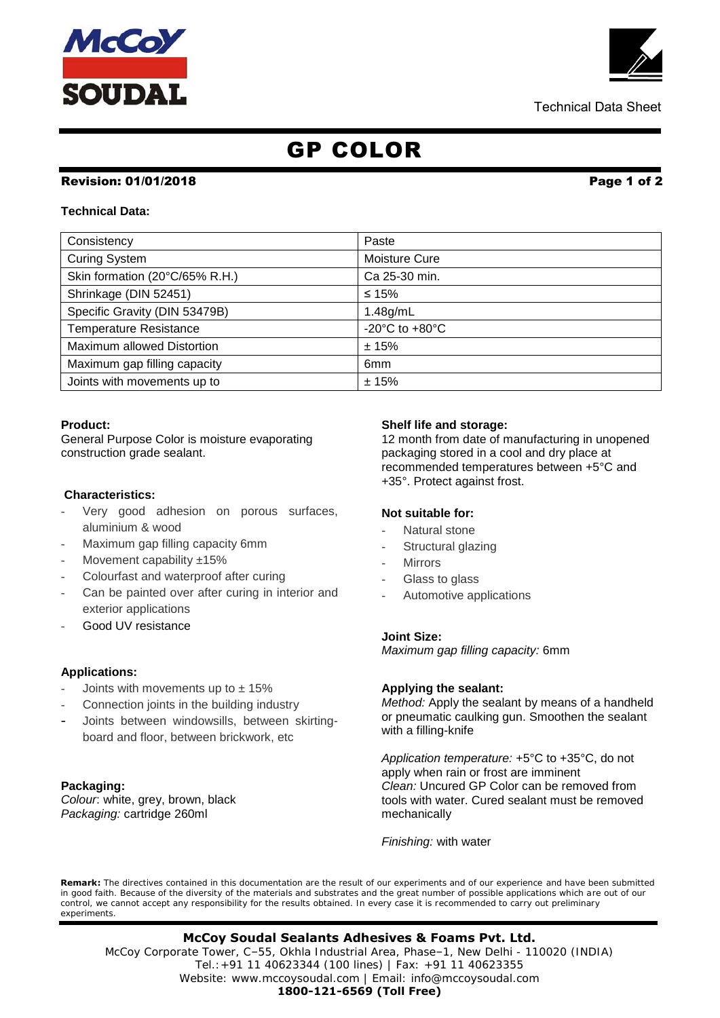# McCc **SOUDAL**

Technical Data Sheet

## GP COLOR

## Revision: 01/01/2018 Page 1 of 2

### **Technical Data:**

| Consistency                       | Paste                                |
|-----------------------------------|--------------------------------------|
| <b>Curing System</b>              | Moisture Cure                        |
| Skin formation (20°C/65% R.H.)    | Ca 25-30 min.                        |
| Shrinkage (DIN 52451)             | ≤ 15%                                |
| Specific Gravity (DIN 53479B)     | 1.48g/mL                             |
| <b>Temperature Resistance</b>     | -20 $^{\circ}$ C to +80 $^{\circ}$ C |
| <b>Maximum allowed Distortion</b> | ±15%                                 |
| Maximum gap filling capacity      | 6 <sub>mm</sub>                      |
| Joints with movements up to       | ±15%                                 |

#### **Product:**

General Purpose Color is moisture evaporating construction grade sealant.

#### **Characteristics:**

- Very good adhesion on porous surfaces, aluminium & wood
- Maximum gap filling capacity 6mm
- Movement capability  $±15%$
- Colourfast and waterproof after curing
- Can be painted over after curing in interior and exterior applications
- Good UV resistance

## **Applications:**

- Joints with movements up to  $\pm$  15%
- Connection joints in the building industry
- Joints between windowsills, between skirtingboard and floor, between brickwork, etc

#### **Packaging:**

*Colour*: white, grey, brown, black *Packaging:* cartridge 260ml

#### **Shelf life and storage:**

12 month from date of manufacturing in unopened packaging stored in a cool and dry place at recommended temperatures between +5°C and +35°. Protect against frost.

#### **Not suitable for:**

- Natural stone
- Structural glazing
- **Mirrors**
- Glass to glass
- Automotive applications

#### **Joint Size:**

*Maximum gap filling capacity:* 6mm

#### **Applying the sealant:**

*Method:* Apply the sealant by means of a handheld or pneumatic caulking gun. Smoothen the sealant with a filling-knife

*Application temperature:* +5°C to +35°C, do not apply when rain or frost are imminent *Clean:* Uncured GP Color can be removed from tools with water. Cured sealant must be removed mechanically

*Finishing:* with water

**Remark:** The directives contained in this documentation are the result of our experiments and of our experience and have been submitted in good faith. Because of the diversity of the materials and substrates and the great number of possible applications which are out of our control, we cannot accept any responsibility for the results obtained. In every case it is recommended to carry out preliminary experiments.

 Tel.:+91 11 40623344 (100 lines) | Fax: +91 11 40623355 **McCoy Soudal Sealants Adhesives & Foams Pvt. Ltd.** McCoy Corporate Tower, C–55, Okhla Industrial Area, Phase–1, New Delhi - 110020 (INDIA) Website: www.mccoysoudal.com | Email: info@mccoysoudal.com **1800-121-6569 (Toll Free)**